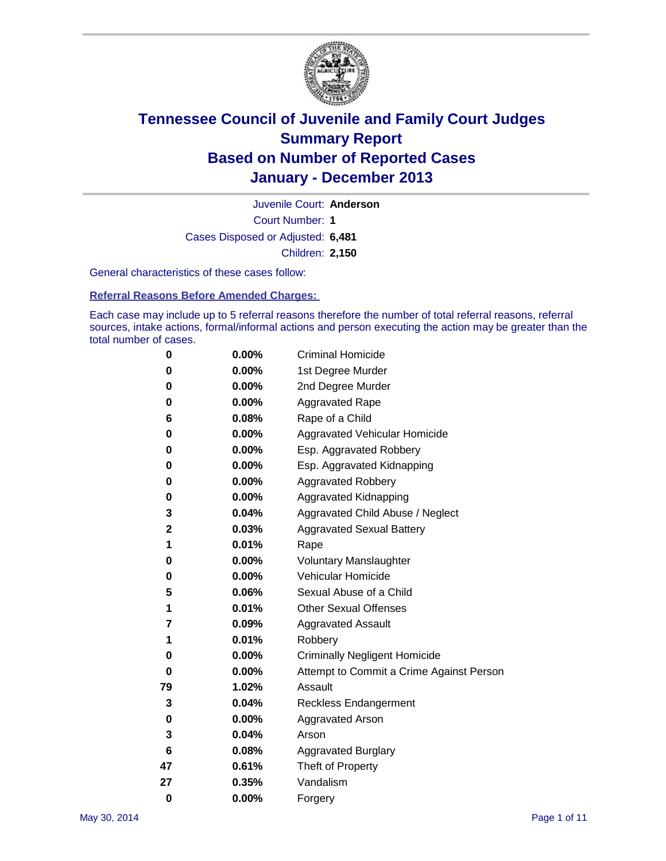

Court Number: **1** Juvenile Court: **Anderson** Cases Disposed or Adjusted: **6,481** Children: **2,150**

General characteristics of these cases follow:

**Referral Reasons Before Amended Charges:** 

Each case may include up to 5 referral reasons therefore the number of total referral reasons, referral sources, intake actions, formal/informal actions and person executing the action may be greater than the total number of cases.

| 0        | 0.00%    | <b>Criminal Homicide</b>                 |
|----------|----------|------------------------------------------|
| 0        | 0.00%    | 1st Degree Murder                        |
| 0        | 0.00%    | 2nd Degree Murder                        |
| 0        | $0.00\%$ | <b>Aggravated Rape</b>                   |
| 6        | 0.08%    | Rape of a Child                          |
| 0        | 0.00%    | <b>Aggravated Vehicular Homicide</b>     |
| 0        | 0.00%    | Esp. Aggravated Robbery                  |
| 0        | 0.00%    | Esp. Aggravated Kidnapping               |
| 0        | $0.00\%$ | <b>Aggravated Robbery</b>                |
| 0        | 0.00%    | Aggravated Kidnapping                    |
| 3        | 0.04%    | Aggravated Child Abuse / Neglect         |
| 2        | 0.03%    | <b>Aggravated Sexual Battery</b>         |
| 1        | 0.01%    | Rape                                     |
| 0        | 0.00%    | <b>Voluntary Manslaughter</b>            |
| 0        | 0.00%    | Vehicular Homicide                       |
| 5        | 0.06%    | Sexual Abuse of a Child                  |
| 1        | 0.01%    | <b>Other Sexual Offenses</b>             |
| 7        | 0.09%    | <b>Aggravated Assault</b>                |
| 1        | 0.01%    | Robbery                                  |
| 0        | 0.00%    | <b>Criminally Negligent Homicide</b>     |
| 0        | 0.00%    | Attempt to Commit a Crime Against Person |
| 79       | 1.02%    | Assault                                  |
| 3        | 0.04%    | <b>Reckless Endangerment</b>             |
| 0        | 0.00%    | <b>Aggravated Arson</b>                  |
| 3        | 0.04%    | Arson                                    |
| 6        | 0.08%    | <b>Aggravated Burglary</b>               |
| 47       | 0.61%    | Theft of Property                        |
| 27       | 0.35%    | Vandalism                                |
| $\bf{0}$ | 0.00%    | Forgery                                  |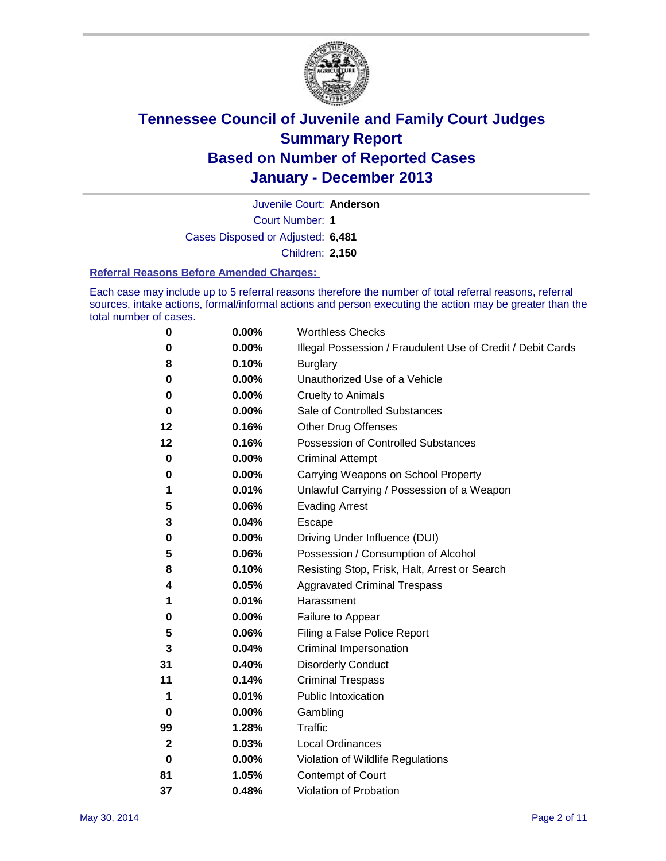

Juvenile Court: **Anderson**

Court Number: **1**

Cases Disposed or Adjusted: **6,481**

Children: **2,150**

### **Referral Reasons Before Amended Charges:**

Each case may include up to 5 referral reasons therefore the number of total referral reasons, referral sources, intake actions, formal/informal actions and person executing the action may be greater than the total number of cases.

| 0           | 0.00% | <b>Worthless Checks</b>                                     |
|-------------|-------|-------------------------------------------------------------|
| 0           | 0.00% | Illegal Possession / Fraudulent Use of Credit / Debit Cards |
| 8           | 0.10% | <b>Burglary</b>                                             |
| 0           | 0.00% | Unauthorized Use of a Vehicle                               |
| 0           | 0.00% | <b>Cruelty to Animals</b>                                   |
| 0           | 0.00% | Sale of Controlled Substances                               |
| 12          | 0.16% | <b>Other Drug Offenses</b>                                  |
| 12          | 0.16% | Possession of Controlled Substances                         |
| 0           | 0.00% | <b>Criminal Attempt</b>                                     |
| 0           | 0.00% | Carrying Weapons on School Property                         |
| 1           | 0.01% | Unlawful Carrying / Possession of a Weapon                  |
| 5           | 0.06% | <b>Evading Arrest</b>                                       |
| 3           | 0.04% | Escape                                                      |
| 0           | 0.00% | Driving Under Influence (DUI)                               |
| 5           | 0.06% | Possession / Consumption of Alcohol                         |
| 8           | 0.10% | Resisting Stop, Frisk, Halt, Arrest or Search               |
| 4           | 0.05% | <b>Aggravated Criminal Trespass</b>                         |
| 1           | 0.01% | Harassment                                                  |
| 0           | 0.00% | Failure to Appear                                           |
| 5           | 0.06% | Filing a False Police Report                                |
| 3           | 0.04% | Criminal Impersonation                                      |
| 31          | 0.40% | <b>Disorderly Conduct</b>                                   |
| 11          | 0.14% | <b>Criminal Trespass</b>                                    |
| 1           | 0.01% | <b>Public Intoxication</b>                                  |
| 0           | 0.00% | Gambling                                                    |
| 99          | 1.28% | Traffic                                                     |
| $\mathbf 2$ | 0.03% | <b>Local Ordinances</b>                                     |
| 0           | 0.00% | Violation of Wildlife Regulations                           |
| 81          | 1.05% | Contempt of Court                                           |
| 37          | 0.48% | Violation of Probation                                      |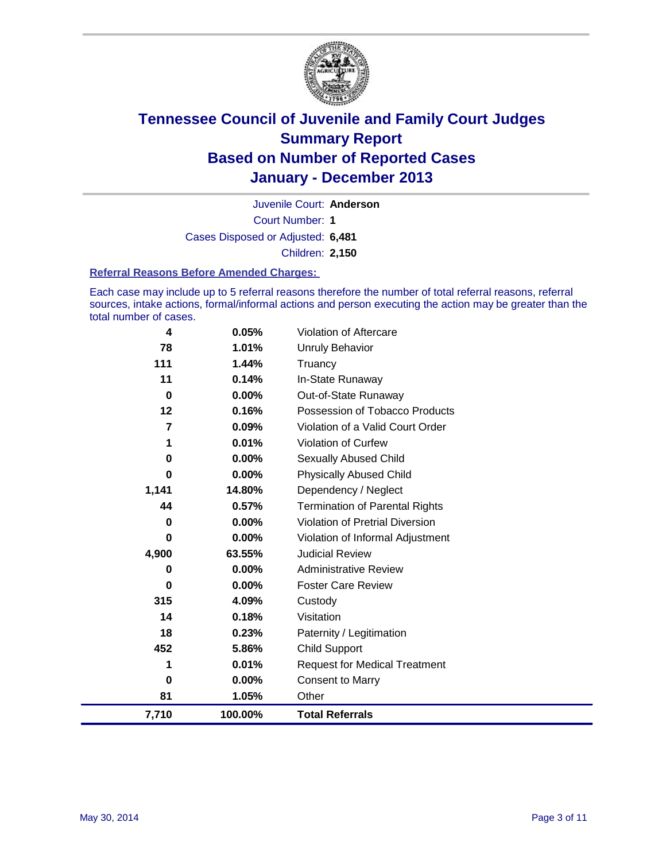

Court Number: **1** Juvenile Court: **Anderson** Cases Disposed or Adjusted: **6,481** Children: **2,150**

### **Referral Reasons Before Amended Charges:**

Each case may include up to 5 referral reasons therefore the number of total referral reasons, referral sources, intake actions, formal/informal actions and person executing the action may be greater than the total number of cases.

| 7,710       | 100.00%  | <b>Total Referrals</b>                 |
|-------------|----------|----------------------------------------|
| 81          | 1.05%    | Other                                  |
| 0           | 0.00%    | <b>Consent to Marry</b>                |
| 1           | 0.01%    | <b>Request for Medical Treatment</b>   |
| 452         | 5.86%    | <b>Child Support</b>                   |
| 18          | 0.23%    | Paternity / Legitimation               |
| 14          | 0.18%    | Visitation                             |
| 315         | 4.09%    | Custody                                |
| 0           | 0.00%    | <b>Foster Care Review</b>              |
| 0           | $0.00\%$ | <b>Administrative Review</b>           |
| 4,900       | 63.55%   | <b>Judicial Review</b>                 |
| 0           | 0.00%    | Violation of Informal Adjustment       |
| 0           | 0.00%    | <b>Violation of Pretrial Diversion</b> |
| 44          | 0.57%    | <b>Termination of Parental Rights</b>  |
| 1,141       | 14.80%   | Dependency / Neglect                   |
| 0           | 0.00%    | <b>Physically Abused Child</b>         |
| 0           | 0.00%    | Sexually Abused Child                  |
| 1           | 0.01%    | Violation of Curfew                    |
| 7           | 0.09%    | Violation of a Valid Court Order       |
| 12          | 0.16%    | Possession of Tobacco Products         |
| $\mathbf 0$ | 0.00%    | Out-of-State Runaway                   |
| 11          | 0.14%    | In-State Runaway                       |
| 111         | 1.44%    | Unruly Behavior<br>Truancy             |
| 78          | 1.01%    |                                        |
| 4           | 0.05%    | Violation of Aftercare                 |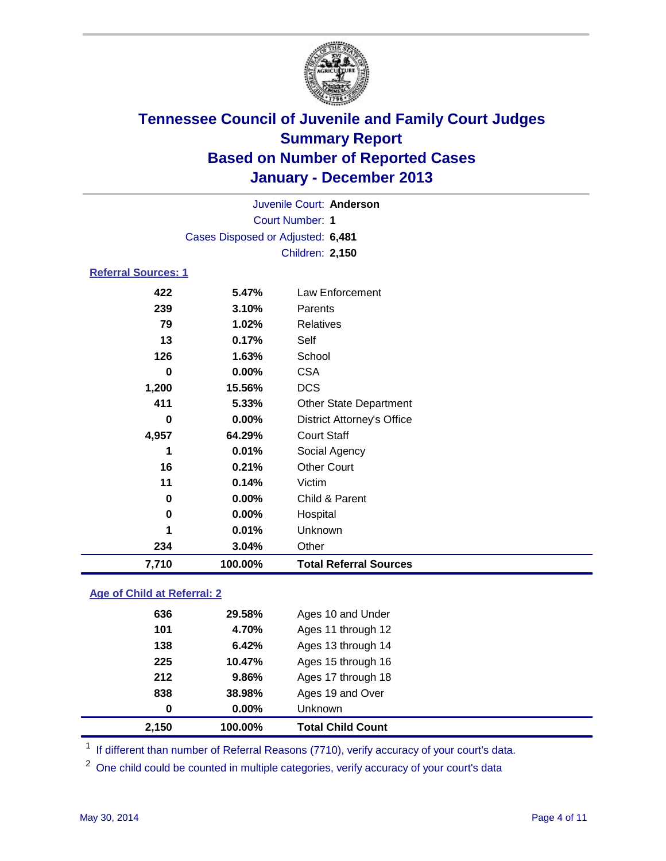

|                            |                                   | Juvenile Court: Anderson          |
|----------------------------|-----------------------------------|-----------------------------------|
|                            |                                   | <b>Court Number: 1</b>            |
|                            | Cases Disposed or Adjusted: 6,481 |                                   |
|                            |                                   | <b>Children: 2,150</b>            |
| <b>Referral Sources: 1</b> |                                   |                                   |
| 422                        | 5.47%                             | Law Enforcement                   |
| 239                        | 3.10%                             | Parents                           |
| 79                         | 1.02%                             | Relatives                         |
| 13                         | 0.17%                             | Self                              |
| 126                        | 1.63%                             | School                            |
| 0                          | 0.00%                             | <b>CSA</b>                        |
| 1,200                      | 15.56%                            | <b>DCS</b>                        |
| 411                        | 5.33%                             | <b>Other State Department</b>     |
| 0                          | 0.00%                             | <b>District Attorney's Office</b> |
| 4,957                      | 64.29%                            | <b>Court Staff</b>                |
| 1                          | 0.01%                             | Social Agency                     |
| 16                         | 0.21%                             | <b>Other Court</b>                |
| 11                         | 0.14%                             | Victim                            |
| 0                          | 0.00%                             | Child & Parent                    |
| 0                          | 0.00%                             | Hospital                          |
| 1                          | 0.01%                             | Unknown                           |
| 234                        | 3.04%                             | Other                             |
| 7,710                      | 100.00%                           | <b>Total Referral Sources</b>     |
|                            |                                   |                                   |

### **Age of Child at Referral: 2**

| 2,150 | 100.00%    | <b>Total Child Count</b> |
|-------|------------|--------------------------|
|       | 0<br>0.00% | <b>Unknown</b>           |
| 838   | 38.98%     | Ages 19 and Over         |
| 212   | 9.86%      | Ages 17 through 18       |
| 225   | 10.47%     | Ages 15 through 16       |
| 138   | 6.42%      | Ages 13 through 14       |
| 101   | 4.70%      | Ages 11 through 12       |
| 636   | 29.58%     | Ages 10 and Under        |
|       |            |                          |

<sup>1</sup> If different than number of Referral Reasons (7710), verify accuracy of your court's data.

<sup>2</sup> One child could be counted in multiple categories, verify accuracy of your court's data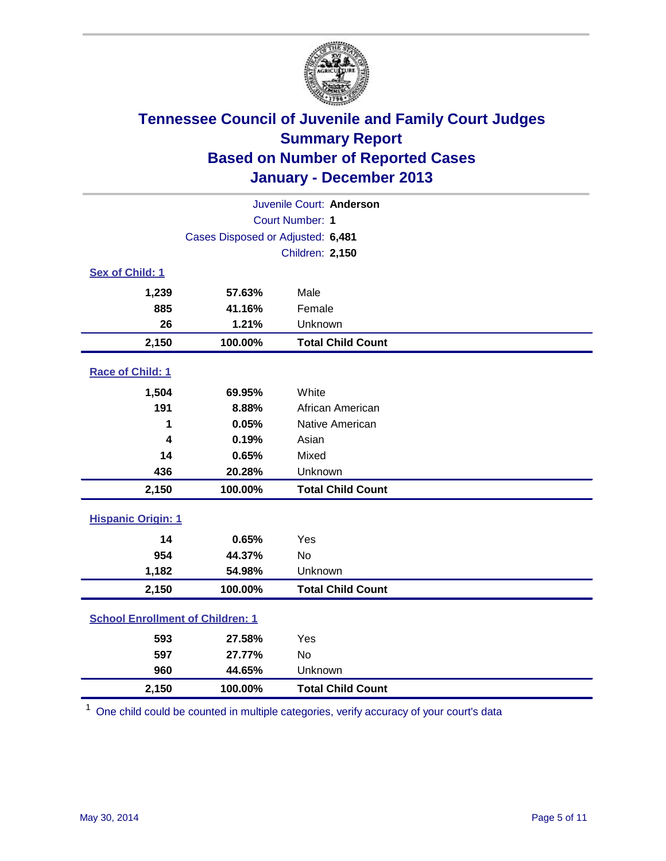

| Juvenile Court: Anderson                |                                   |                          |  |  |  |
|-----------------------------------------|-----------------------------------|--------------------------|--|--|--|
| Court Number: 1                         |                                   |                          |  |  |  |
|                                         | Cases Disposed or Adjusted: 6,481 |                          |  |  |  |
|                                         |                                   | Children: 2,150          |  |  |  |
| Sex of Child: 1                         |                                   |                          |  |  |  |
| 1,239                                   | 57.63%                            | Male                     |  |  |  |
| 885                                     | 41.16%                            | Female                   |  |  |  |
| 26                                      | 1.21%                             | Unknown                  |  |  |  |
| 2,150                                   | 100.00%                           | <b>Total Child Count</b> |  |  |  |
| Race of Child: 1                        |                                   |                          |  |  |  |
| 1,504                                   | 69.95%                            | White                    |  |  |  |
| 191                                     | 8.88%                             | African American         |  |  |  |
| 1                                       | 0.05%                             | Native American          |  |  |  |
| 4                                       | 0.19%                             | Asian                    |  |  |  |
| 14                                      | 0.65%                             | Mixed                    |  |  |  |
| 436                                     | 20.28%                            | Unknown                  |  |  |  |
| 2,150                                   | 100.00%                           | <b>Total Child Count</b> |  |  |  |
| <b>Hispanic Origin: 1</b>               |                                   |                          |  |  |  |
| 14                                      | 0.65%                             | Yes                      |  |  |  |
| 954                                     | 44.37%                            | <b>No</b>                |  |  |  |
| 1,182                                   | 54.98%                            | Unknown                  |  |  |  |
| 2,150                                   | 100.00%                           | <b>Total Child Count</b> |  |  |  |
| <b>School Enrollment of Children: 1</b> |                                   |                          |  |  |  |
| 593                                     | 27.58%                            | Yes                      |  |  |  |
| 597                                     | 27.77%                            | <b>No</b>                |  |  |  |
| 960                                     | 44.65%                            | Unknown                  |  |  |  |
| 2,150                                   | 100.00%                           | <b>Total Child Count</b> |  |  |  |

 $1$  One child could be counted in multiple categories, verify accuracy of your court's data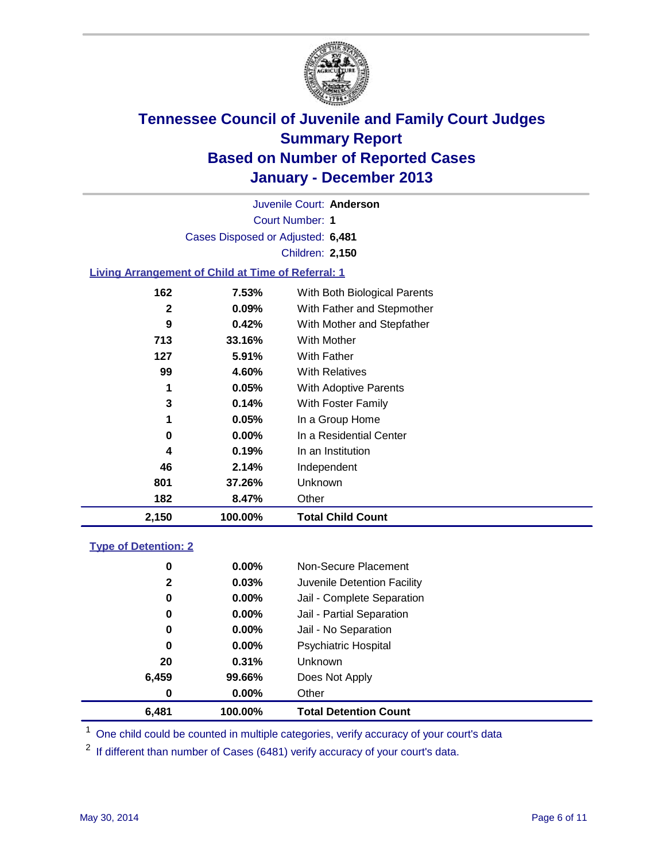

Court Number: **1** Juvenile Court: **Anderson** Cases Disposed or Adjusted: **6,481** Children: **2,150**

### **Living Arrangement of Child at Time of Referral: 1**

| 2,150 | 100.00%  | <b>Total Child Count</b>     |
|-------|----------|------------------------------|
| 182   | 8.47%    | Other                        |
| 801   | 37.26%   | <b>Unknown</b>               |
| 46    | 2.14%    | Independent                  |
| 4     | 0.19%    | In an Institution            |
| 0     | $0.00\%$ | In a Residential Center      |
| 1     | 0.05%    | In a Group Home              |
| 3     | 0.14%    | With Foster Family           |
| 1     | 0.05%    | <b>With Adoptive Parents</b> |
| 99    | 4.60%    | <b>With Relatives</b>        |
| 127   | $5.91\%$ | With Father                  |
| 713   | 33.16%   | With Mother                  |
| 9     | 0.42%    | With Mother and Stepfather   |
| 2     | 0.09%    | With Father and Stepmother   |
| 162   | 7.53%    | With Both Biological Parents |
|       |          |                              |

### **Type of Detention: 2**

| 6,481 | 100.00%  | <b>Total Detention Count</b> |
|-------|----------|------------------------------|
| 0     | 0.00%    | Other                        |
| 6,459 | 99.66%   | Does Not Apply               |
| 20    | 0.31%    | <b>Unknown</b>               |
| 0     | $0.00\%$ | <b>Psychiatric Hospital</b>  |
| 0     | 0.00%    | Jail - No Separation         |
| 0     | $0.00\%$ | Jail - Partial Separation    |
| 0     | 0.00%    | Jail - Complete Separation   |
| 2     | 0.03%    | Juvenile Detention Facility  |
| 0     | $0.00\%$ | Non-Secure Placement         |
|       |          |                              |

<sup>1</sup> One child could be counted in multiple categories, verify accuracy of your court's data

If different than number of Cases (6481) verify accuracy of your court's data.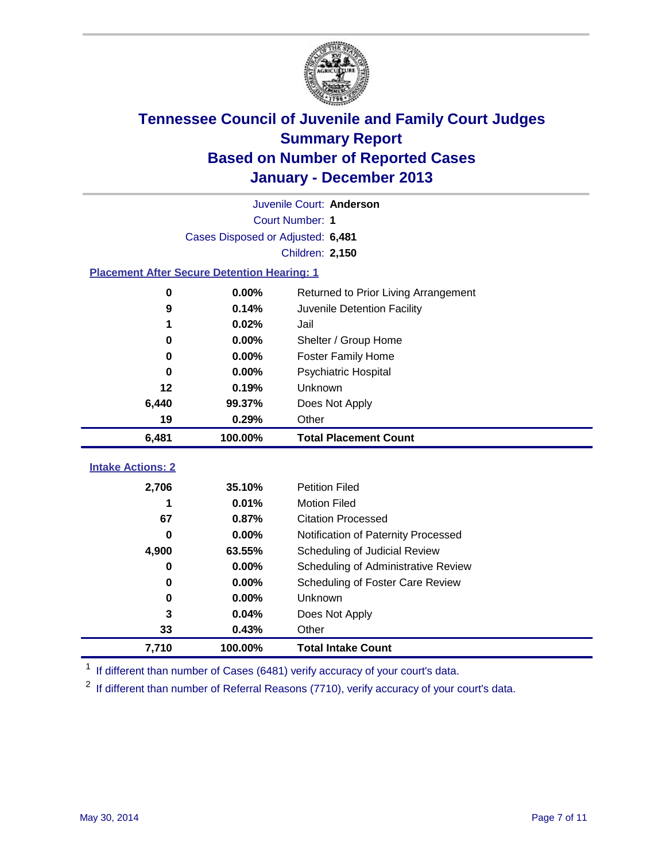

|                                                    |                                   | Juvenile Court: Anderson             |  |  |  |
|----------------------------------------------------|-----------------------------------|--------------------------------------|--|--|--|
|                                                    | Court Number: 1                   |                                      |  |  |  |
|                                                    | Cases Disposed or Adjusted: 6,481 |                                      |  |  |  |
|                                                    |                                   | Children: 2,150                      |  |  |  |
| <b>Placement After Secure Detention Hearing: 1</b> |                                   |                                      |  |  |  |
| 0                                                  | 0.00%                             | Returned to Prior Living Arrangement |  |  |  |
| 9                                                  | 0.14%                             | Juvenile Detention Facility          |  |  |  |
| 1                                                  | 0.02%                             | Jail                                 |  |  |  |
| 0                                                  | 0.00%                             | Shelter / Group Home                 |  |  |  |
| $\bf{0}$                                           | 0.00%                             | <b>Foster Family Home</b>            |  |  |  |
| $\bf{0}$                                           | 0.00%                             | <b>Psychiatric Hospital</b>          |  |  |  |
| 12                                                 | 0.19%                             | Unknown                              |  |  |  |
| 6,440                                              | 99.37%                            | Does Not Apply                       |  |  |  |
| 19                                                 | 0.29%                             | Other                                |  |  |  |
| 6,481                                              | 100.00%                           | <b>Total Placement Count</b>         |  |  |  |
| <b>Intake Actions: 2</b>                           |                                   |                                      |  |  |  |
|                                                    |                                   |                                      |  |  |  |
| 2,706                                              | 35.10%                            | <b>Petition Filed</b>                |  |  |  |
| 1                                                  | 0.01%                             | <b>Motion Filed</b>                  |  |  |  |
| 67                                                 | 0.87%                             | <b>Citation Processed</b>            |  |  |  |
| 0                                                  | 0.00%                             | Notification of Paternity Processed  |  |  |  |
| 4,900                                              | 63.55%                            | Scheduling of Judicial Review        |  |  |  |
| $\bf{0}$                                           | 0.00%                             | Scheduling of Administrative Review  |  |  |  |
| 0                                                  | 0.00%                             | Scheduling of Foster Care Review     |  |  |  |
| 0                                                  | 0.00%                             | Unknown                              |  |  |  |
| 3                                                  | 0.04%                             | Does Not Apply                       |  |  |  |
| 33                                                 | 0.43%                             | Other                                |  |  |  |
| 7,710                                              | 100.00%                           | <b>Total Intake Count</b>            |  |  |  |

<sup>1</sup> If different than number of Cases (6481) verify accuracy of your court's data.

 $2$  If different than number of Referral Reasons (7710), verify accuracy of your court's data.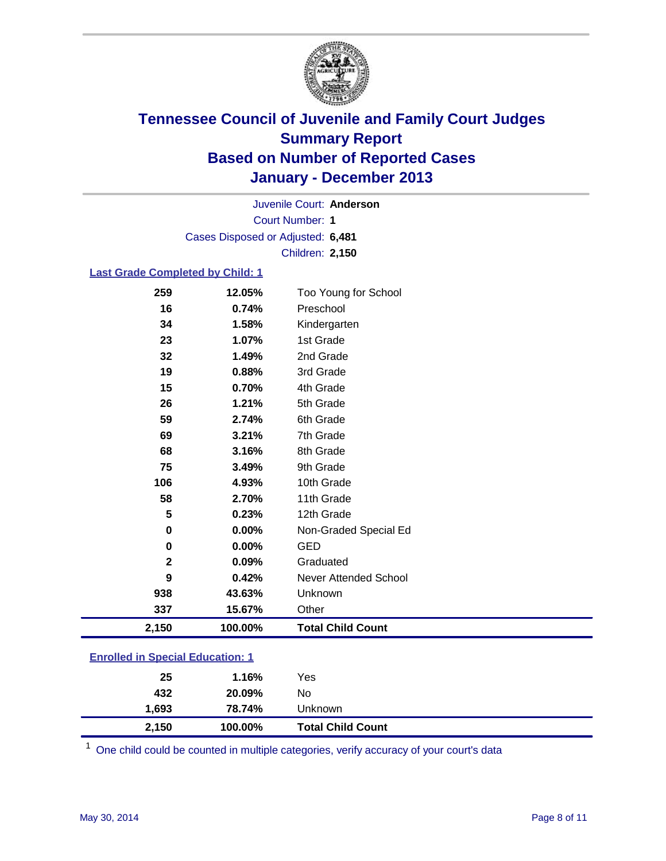

Court Number: **1** Juvenile Court: **Anderson** Cases Disposed or Adjusted: **6,481** Children: **2,150**

### **Last Grade Completed by Child: 1**

| 2,150        | 100.00% | <b>Total Child Count</b> |
|--------------|---------|--------------------------|
| 337          | 15.67%  | Other                    |
| 938          | 43.63%  | Unknown                  |
| 9            | 0.42%   | Never Attended School    |
| $\mathbf{2}$ | 0.09%   | Graduated                |
| 0            | 0.00%   | <b>GED</b>               |
| 0            | 0.00%   | Non-Graded Special Ed    |
| 5            | 0.23%   | 12th Grade               |
| 58           | 2.70%   | 11th Grade               |
| 106          | 4.93%   | 10th Grade               |
| 75           | 3.49%   | 9th Grade                |
| 68           | 3.16%   | 8th Grade                |
| 69           | 3.21%   | 7th Grade                |
| 59           | 2.74%   | 6th Grade                |
| 26           | 1.21%   | 5th Grade                |
| 15           | 0.70%   | 4th Grade                |
| 19           | 0.88%   | 3rd Grade                |
| 32           | 1.49%   | 2nd Grade                |
| 23           | 1.07%   | 1st Grade                |
| 34           | 1.58%   | Kindergarten             |
| 16           | 0.74%   | Preschool                |
| 259          | 12.05%  | Too Young for School     |

| 2,150 | 100.00% | <b>Total Child Count</b> |  |
|-------|---------|--------------------------|--|
| 1,693 | 78.74%  | Unknown                  |  |
| 432   | 20.09%  | No                       |  |
| 25    | 1.16%   | Yes                      |  |
|       |         |                          |  |

One child could be counted in multiple categories, verify accuracy of your court's data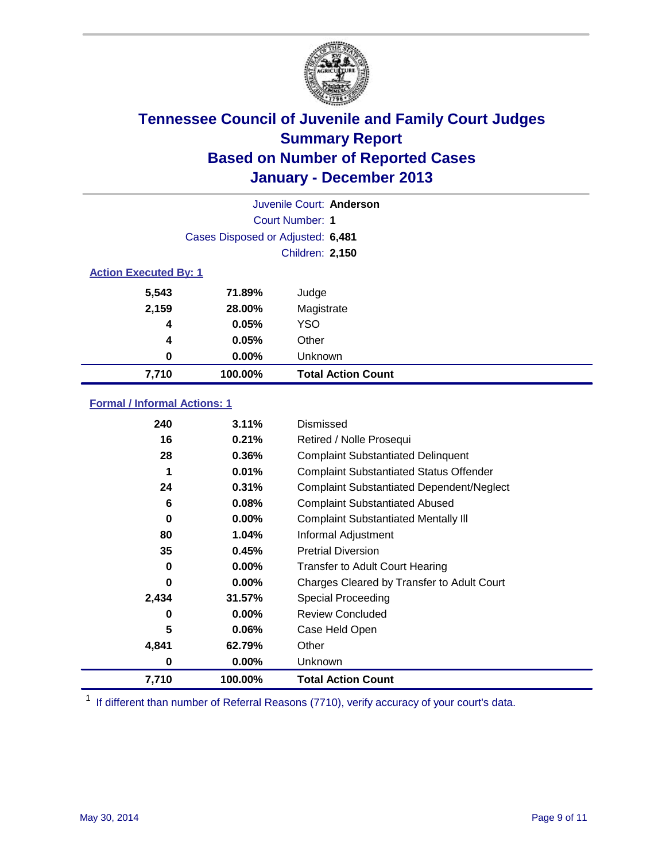

|                              |                                   | Juvenile Court: Anderson  |
|------------------------------|-----------------------------------|---------------------------|
|                              |                                   | Court Number: 1           |
|                              | Cases Disposed or Adjusted: 6,481 |                           |
|                              |                                   | Children: 2,150           |
| <b>Action Executed By: 1</b> |                                   |                           |
| 5,543                        | 71.89%                            | Judge                     |
| 2,159                        | 28.00%                            | Magistrate                |
| 4                            | 0.05%                             | <b>YSO</b>                |
| 4                            | 0.05%                             | Other                     |
| 0                            | 0.00%                             | Unknown                   |
| 7,710                        | 100.00%                           | <b>Total Action Count</b> |

### **Formal / Informal Actions: 1**

| 240      | 3.11%    | Dismissed                                        |
|----------|----------|--------------------------------------------------|
| 16       | 0.21%    | Retired / Nolle Prosequi                         |
| 28       | 0.36%    | <b>Complaint Substantiated Delinquent</b>        |
| 1        | 0.01%    | <b>Complaint Substantiated Status Offender</b>   |
| 24       | 0.31%    | <b>Complaint Substantiated Dependent/Neglect</b> |
| 6        | 0.08%    | <b>Complaint Substantiated Abused</b>            |
| $\bf{0}$ | $0.00\%$ | <b>Complaint Substantiated Mentally III</b>      |
| 80       | 1.04%    | Informal Adjustment                              |
| 35       | 0.45%    | <b>Pretrial Diversion</b>                        |
| 0        | $0.00\%$ | <b>Transfer to Adult Court Hearing</b>           |
| 0        | $0.00\%$ | Charges Cleared by Transfer to Adult Court       |
| 2,434    | 31.57%   | Special Proceeding                               |
| 0        | $0.00\%$ | <b>Review Concluded</b>                          |
| 5        | 0.06%    | Case Held Open                                   |
| 4,841    | 62.79%   | Other                                            |
| 0        | $0.00\%$ | Unknown                                          |
| 7,710    | 100.00%  | <b>Total Action Count</b>                        |

<sup>1</sup> If different than number of Referral Reasons (7710), verify accuracy of your court's data.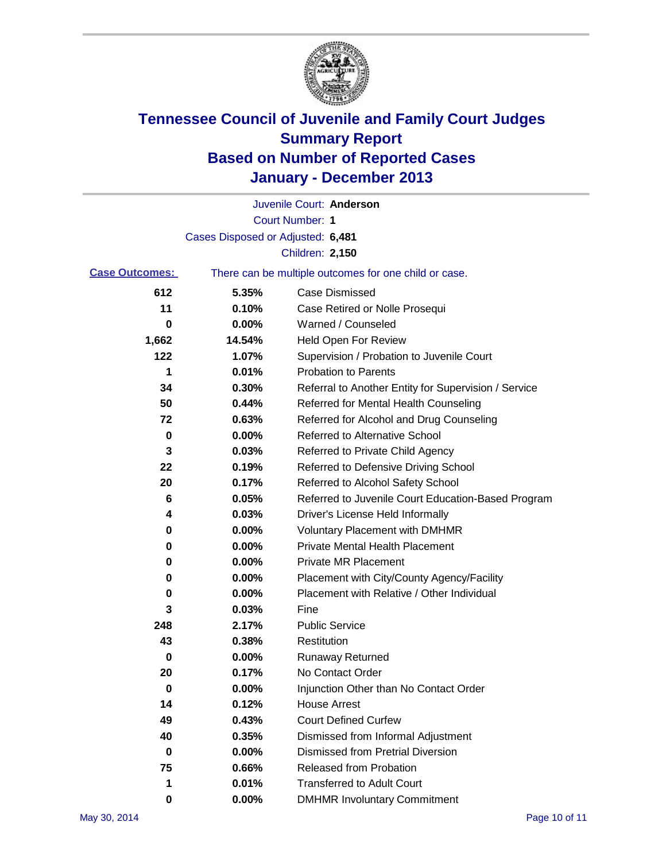

|                       |                                   | Juvenile Court: Anderson                              |
|-----------------------|-----------------------------------|-------------------------------------------------------|
|                       |                                   | <b>Court Number: 1</b>                                |
|                       | Cases Disposed or Adjusted: 6,481 |                                                       |
|                       |                                   | Children: 2,150                                       |
| <b>Case Outcomes:</b> |                                   | There can be multiple outcomes for one child or case. |
| 612                   | 5.35%                             | <b>Case Dismissed</b>                                 |
| 11                    | 0.10%                             | Case Retired or Nolle Prosequi                        |
| 0                     | 0.00%                             | Warned / Counseled                                    |
| 1,662                 | 14.54%                            | <b>Held Open For Review</b>                           |
| 122                   | 1.07%                             | Supervision / Probation to Juvenile Court             |
| 1                     | 0.01%                             | <b>Probation to Parents</b>                           |
| 34                    | 0.30%                             | Referral to Another Entity for Supervision / Service  |
| 50                    | 0.44%                             | Referred for Mental Health Counseling                 |
| 72                    | 0.63%                             | Referred for Alcohol and Drug Counseling              |
| 0                     | 0.00%                             | <b>Referred to Alternative School</b>                 |
| 3                     | 0.03%                             | Referred to Private Child Agency                      |
| 22                    | 0.19%                             | Referred to Defensive Driving School                  |
| 20                    | 0.17%                             | Referred to Alcohol Safety School                     |
| 6                     | 0.05%                             | Referred to Juvenile Court Education-Based Program    |
| 4                     | 0.03%                             | Driver's License Held Informally                      |
| 0                     | 0.00%                             | <b>Voluntary Placement with DMHMR</b>                 |
| 0                     | 0.00%                             | <b>Private Mental Health Placement</b>                |
| 0                     | 0.00%                             | <b>Private MR Placement</b>                           |
| 0                     | 0.00%                             | Placement with City/County Agency/Facility            |
| 0                     | 0.00%                             | Placement with Relative / Other Individual            |
| 3                     | 0.03%                             | Fine                                                  |
| 248                   | 2.17%                             | <b>Public Service</b>                                 |
| 43                    | 0.38%                             | Restitution                                           |
| 0                     | 0.00%                             | <b>Runaway Returned</b>                               |
| 20                    | 0.17%                             | No Contact Order                                      |
| 0                     | $0.00\%$                          | Injunction Other than No Contact Order                |
| 14                    | 0.12%                             | <b>House Arrest</b>                                   |
| 49                    | 0.43%                             | <b>Court Defined Curfew</b>                           |
| 40                    | 0.35%                             | Dismissed from Informal Adjustment                    |
| 0                     | 0.00%                             | <b>Dismissed from Pretrial Diversion</b>              |
| 75                    | 0.66%                             | <b>Released from Probation</b>                        |
| 1                     | 0.01%                             | <b>Transferred to Adult Court</b>                     |
| 0                     | $0.00\%$                          | <b>DMHMR Involuntary Commitment</b>                   |